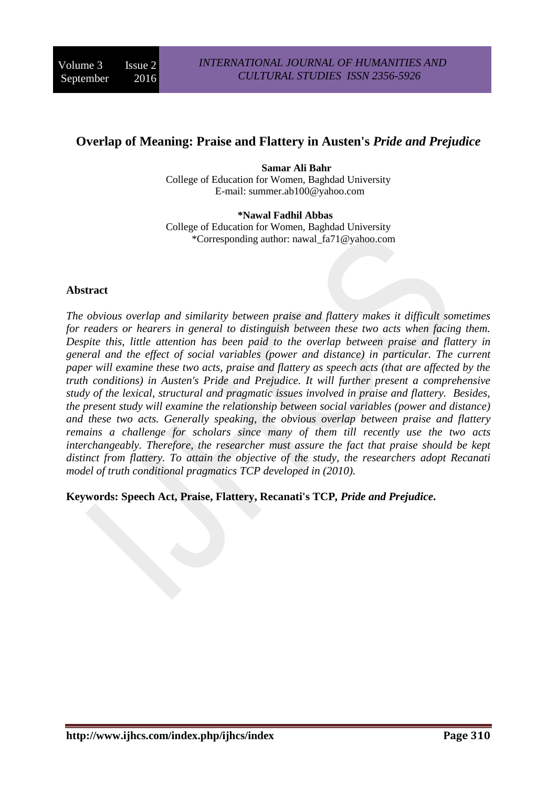# **Overlap of Meaning: Praise and Flattery in Austen's** *Pride and Prejudice*

**Samar Ali Bahr** College of Education for Women, Baghdad University E-mail: summer.ab100@yahoo.com

**\*Nawal Fadhil Abbas** College of Education for Women, Baghdad University \*Corresponding author: nawal\_fa71@yahoo.com

### **Abstract**

*The obvious overlap and similarity between praise and flattery makes it difficult sometimes for readers or hearers in general to distinguish between these two acts when facing them. Despite this, little attention has been paid to the overlap between praise and flattery in general and the effect of social variables (power and distance) in particular. The current paper will examine these two acts, praise and flattery as speech acts (that are affected by the truth conditions) in Austen's Pride and Prejudice. It will further present a comprehensive study of the lexical, structural and pragmatic issues involved in praise and flattery. Besides, the present study will examine the relationship between social variables (power and distance) and these two acts. Generally speaking, the obvious overlap between praise and flattery remains a challenge for scholars since many of them till recently use the two acts interchangeably. Therefore, the researcher must assure the fact that praise should be kept distinct from flattery. To attain the objective of the study, the researchers adopt Recanati model of truth conditional pragmatics TCP developed in (2010).*

**Keywords: Speech Act, Praise, Flattery, Recanati's TCP***, Pride and Prejudice***.**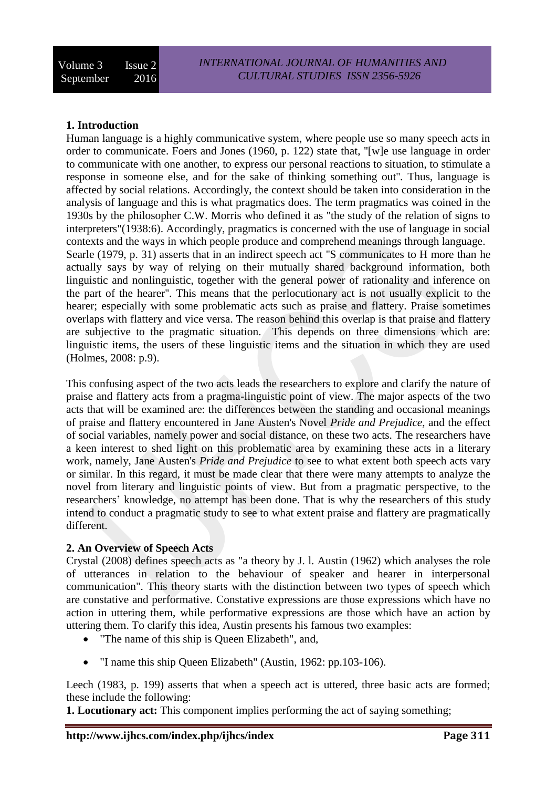# **1. Introduction**

Human language is a highly communicative system, where people use so many speech acts in order to communicate. Foers and Jones (1960, p. 122) state that, ''[w]e use language in order to communicate with one another, to express our personal reactions to situation, to stimulate a response in someone else, and for the sake of thinking something out''. Thus, language is affected by social relations. Accordingly, the context should be taken into consideration in the analysis of language and this is what pragmatics does. The term pragmatics was coined in the 1930s by the philosopher C.W. Morris who defined it as "the study of the relation of signs to interpreters"(1938:6). Accordingly, pragmatics is concerned with the use of language in social contexts and the ways in which people produce and comprehend meanings through language. Searle (1979, p. 31) asserts that in an indirect speech act ''S communicates to H more than he actually says by way of relying on their mutually shared background information, both linguistic and nonlinguistic, together with the general power of rationality and inference on the part of the hearer''. This means that the perlocutionary act is not usually explicit to the hearer; especially with some problematic acts such as praise and flattery. Praise sometimes overlaps with flattery and vice versa. The reason behind this overlap is that praise and flattery are subjective to the pragmatic situation. This depends on three dimensions which are: linguistic items, the users of these linguistic items and the situation in which they are used (Holmes, 2008: p.9).

This confusing aspect of the two acts leads the researchers to explore and clarify the nature of praise and flattery acts from a pragma-linguistic point of view. The major aspects of the two acts that will be examined are: the differences between the standing and occasional meanings of praise and flattery encountered in Jane Austen's Novel *Pride and Prejudice*, and the effect of social variables, namely power and social distance, on these two acts. The researchers have a keen interest to shed light on this problematic area by examining these acts in a literary work, namely, Jane Austen's *Pride and Prejudice* to see to what extent both speech acts vary or similar. In this regard, it must be made clear that there were many attempts to analyze the novel from literary and linguistic points of view. But from a pragmatic perspective, to the researchers' knowledge, no attempt has been done. That is why the researchers of this study intend to conduct a pragmatic study to see to what extent praise and flattery are pragmatically different.

# **2. An Overview of Speech Acts**

Crystal (2008) defines speech acts as "a theory by J. l. Austin (1962) which analyses the role of utterances in relation to the behaviour of speaker and hearer in interpersonal communication". This theory starts with the distinction between two types of speech which are constative and performative. Constative expressions are those expressions which have no action in uttering them, while performative expressions are those which have an action by uttering them. To clarify this idea, Austin presents his famous two examples:

- "The name of this ship is Queen Elizabeth", and,
- "I name this ship Queen Elizabeth" (Austin, 1962: pp.103-106).

Leech (1983, p. 199) asserts that when a speech act is uttered, three basic acts are formed; these include the following:

**1. Locutionary act:** This component implies performing the act of saying something;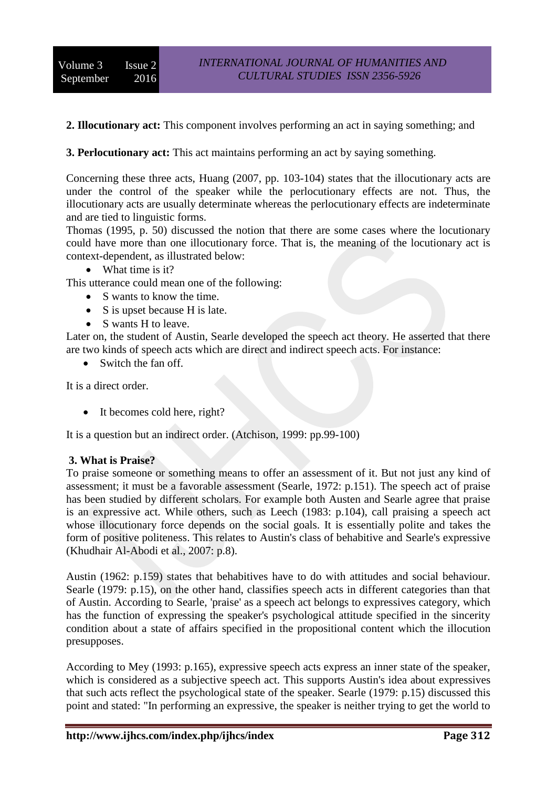**2. Illocutionary act:** This component involves performing an act in saying something; and

# **3. Perlocutionary act:** This act maintains performing an act by saying something.

Concerning these three acts, Huang (2007, pp. 103-104) states that the illocutionary acts are under the control of the speaker while the perlocutionary effects are not. Thus, the illocutionary acts are usually determinate whereas the perlocutionary effects are indeterminate and are tied to linguistic forms.

Thomas (1995, p. 50) discussed the notion that there are some cases where the locutionary could have more than one illocutionary force. That is, the meaning of the locutionary act is context-dependent, as illustrated below:

• What time is it?

This utterance could mean one of the following:

- S wants to know the time.
- $\bullet$  S is upset because H is late.
- S wants H to leave.

Later on, the student of Austin, Searle developed the speech act theory. He asserted that there are two kinds of speech acts which are direct and indirect speech acts. For instance:

• Switch the fan off.

It is a direct order.

• It becomes cold here, right?

It is a question but an indirect order. (Atchison, 1999: pp.99-100)

#### **3. What is Praise?**

To praise someone or something means to offer an assessment of it. But not just any kind of assessment; it must be a favorable assessment (Searle, 1972: p.151). The speech act of praise has been studied by different scholars. For example both Austen and Searle agree that praise is an expressive act. While others, such as Leech (1983: p.104), call praising a speech act whose illocutionary force depends on the social goals. It is essentially polite and takes the form of positive politeness. This relates to Austin's class of behabitive and Searle's expressive (Khudhair Al-Abodi et al., 2007: p.8).

Austin (1962: p.159) states that behabitives have to do with attitudes and social behaviour. Searle (1979: p.15), on the other hand, classifies speech acts in different categories than that of Austin. According to Searle, 'praise' as a speech act belongs to expressives category, which has the function of expressing the speaker's psychological attitude specified in the sincerity condition about a state of affairs specified in the propositional content which the illocution presupposes.

According to Mey (1993: p.165), expressive speech acts express an inner state of the speaker, which is considered as a subjective speech act. This supports Austin's idea about expressives that such acts reflect the psychological state of the speaker. Searle (1979: p.15) discussed this point and stated: "In performing an expressive, the speaker is neither trying to get the world to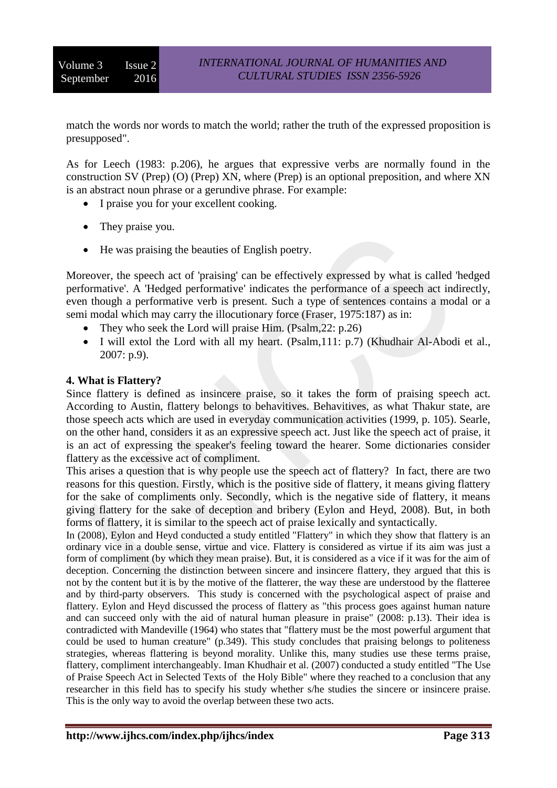match the words nor words to match the world; rather the truth of the expressed proposition is presupposed".

As for Leech (1983: p.206), he argues that expressive verbs are normally found in the construction SV (Prep) (O) (Prep) XN, where (Prep) is an optional preposition, and where XN is an abstract noun phrase or a gerundive phrase. For example:

- I praise you for your excellent cooking.
- They praise you.
- He was praising the beauties of English poetry.

Moreover, the speech act of 'praising' can be effectively expressed by what is called 'hedged performative'. A 'Hedged performative' indicates the performance of a speech act indirectly, even though a performative verb is present. Such a type of sentences contains a modal or a semi modal which may carry the illocutionary force (Fraser, 1975:187) as in:

- They who seek the Lord will praise Him. (Psalm, 22: p.26)
- I will extol the Lord with all my heart. (Psalm,111: p.7) (Khudhair Al-Abodi et al., 2007: p.9).

### **4. What is Flattery?**

Since flattery is defined as insincere praise, so it takes the form of praising speech act. According to Austin, flattery belongs to behavitives. Behavitives, as what Thakur state, are those speech acts which are used in everyday communication activities (1999, p. 105). Searle, on the other hand, considers it as an expressive speech act. Just like the speech act of praise, it is an act of expressing the speaker's feeling toward the hearer. Some dictionaries consider flattery as the excessive act of compliment.

This arises a question that is why people use the speech act of flattery? In fact, there are two reasons for this question. Firstly, which is the positive side of flattery, it means giving flattery for the sake of compliments only. Secondly, which is the negative side of flattery, it means giving flattery for the sake of deception and bribery (Eylon and Heyd, 2008). But, in both forms of flattery, it is similar to the speech act of praise lexically and syntactically.

In (2008), Eylon and Heyd conducted a study entitled "Flattery" in which they show that flattery is an ordinary vice in a double sense, virtue and vice. Flattery is considered as virtue if its aim was just a form of compliment (by which they mean praise). But, it is considered as a vice if it was for the aim of deception. Concerning the distinction between sincere and insincere flattery, they argued that this is not by the content but it is by the motive of the flatterer, the way these are understood by the flatteree and by third-party observers. This study is concerned with the psychological aspect of praise and flattery. Eylon and Heyd discussed the process of flattery as "this process goes against human nature and can succeed only with the aid of natural human pleasure in praise" (2008: p.13). Their idea is contradicted with Mandeville (1964) who states that "flattery must be the most powerful argument that could be used to human creature" (p.349). This study concludes that praising belongs to politeness strategies, whereas flattering is beyond morality. Unlike this, many studies use these terms praise, flattery, compliment interchangeably. Iman Khudhair et al. (2007) conducted a study entitled "The Use of Praise Speech Act in Selected Texts of the Holy Bible" where they reached to a conclusion that any researcher in this field has to specify his study whether s/he studies the sincere or insincere praise. This is the only way to avoid the overlap between these two acts.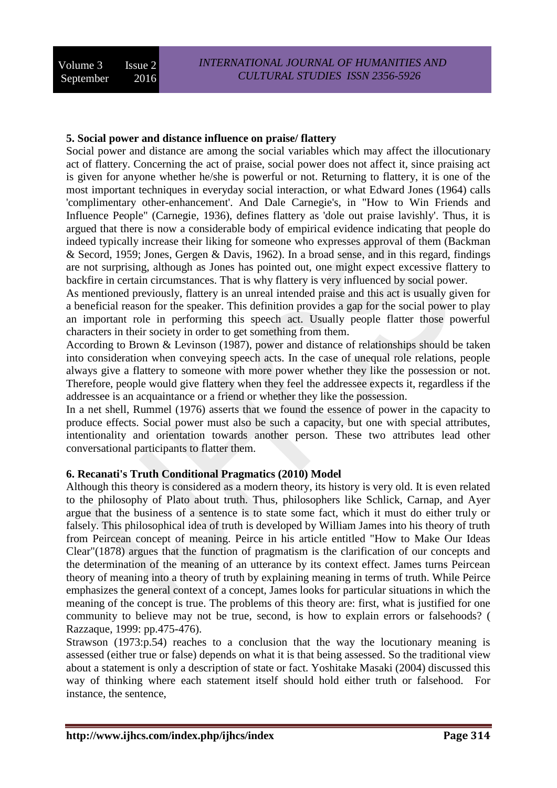# **5. Social power and distance influence on praise/ flattery**

Social power and distance are among the social variables which may affect the illocutionary act of flattery. Concerning the act of praise, social power does not affect it, since praising act is given for anyone whether he/she is powerful or not. Returning to flattery, it is one of the most important techniques in everyday social interaction, or what Edward Jones (1964) calls 'complimentary other-enhancement'. And Dale Carnegie's, in "How to Win Friends and Influence People" (Carnegie, 1936), defines flattery as 'dole out praise lavishly'. Thus, it is argued that there is now a considerable body of empirical evidence indicating that people do indeed typically increase their liking for someone who expresses approval of them (Backman & Secord, 1959; Jones, Gergen & Davis, 1962). In a broad sense, and in this regard, findings are not surprising, although as Jones has pointed out, one might expect excessive flattery to backfire in certain circumstances. That is why flattery is very influenced by social power.

As mentioned previously, flattery is an unreal intended praise and this act is usually given for a beneficial reason for the speaker. This definition provides a gap for the social power to play an important role in performing this speech act. Usually people flatter those powerful characters in their society in order to get something from them.

According to Brown & Levinson (1987), power and distance of relationships should be taken into consideration when conveying speech acts. In the case of unequal role relations, people always give a flattery to someone with more power whether they like the possession or not. Therefore, people would give flattery when they feel the addressee expects it, regardless if the addressee is an acquaintance or a friend or whether they like the possession.

In a net shell, Rummel (1976) asserts that we found the essence of power in the capacity to produce effects. Social power must also be such a capacity, but one with special attributes, intentionality and orientation towards another person. These two attributes lead other conversational participants to flatter them.

# **6. Recanati's Truth Conditional Pragmatics (2010) Model**

Although this theory is considered as a modern theory, its history is very old. It is even related to the philosophy of Plato about truth. Thus, philosophers like Schlick, Carnap, and Ayer argue that the business of a sentence is to state some fact, which it must do either truly or falsely. This philosophical idea of truth is developed by William James into his theory of truth from Peircean concept of meaning. Peirce in his article entitled "How to Make Our Ideas Clear"(1878) argues that the function of pragmatism is the clarification of our concepts and the determination of the meaning of an utterance by its context effect. James turns Peircean theory of meaning into a theory of truth by explaining meaning in terms of truth. While Peirce emphasizes the general context of a concept, James looks for particular situations in which the meaning of the concept is true. The problems of this theory are: first, what is justified for one community to believe may not be true, second, is how to explain errors or falsehoods? ( Razzaque, 1999: pp.475-476).

Strawson (1973:p.54) reaches to a conclusion that the way the locutionary meaning is assessed (either true or false) depends on what it is that being assessed. So the traditional view about a statement is only a description of state or fact. Yoshitake Masaki (2004) discussed this way of thinking where each statement itself should hold either truth or falsehood. instance, the sentence,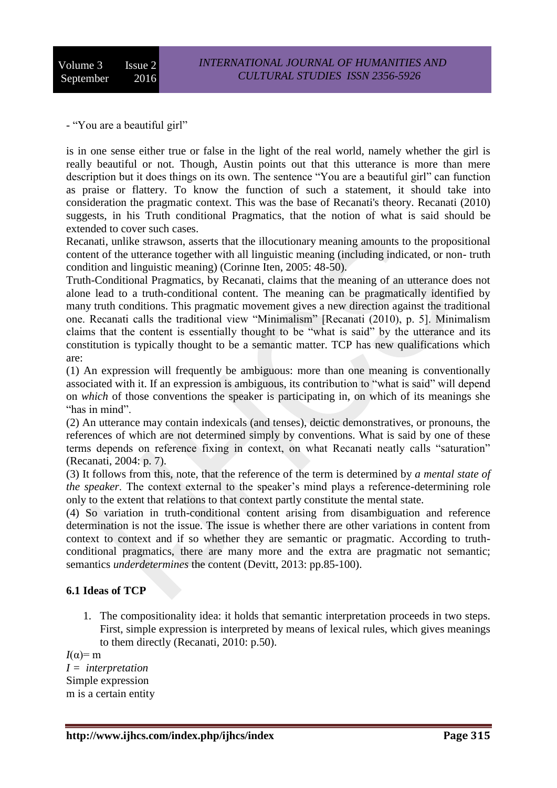- "You are a beautiful girl"

is in one sense either true or false in the light of the real world, namely whether the girl is really beautiful or not. Though, Austin points out that this utterance is more than mere description but it does things on its own. The sentence "You are a beautiful girl" can function as praise or flattery. To know the function of such a statement, it should take into consideration the pragmatic context. This was the base of Recanati's theory. Recanati (2010) suggests, in his Truth conditional Pragmatics, that the notion of what is said should be extended to cover such cases.

Recanati, unlike strawson, asserts that the illocutionary meaning amounts to the propositional content of the utterance together with all linguistic meaning (including indicated, or non- truth condition and linguistic meaning) (Corinne Iten, 2005: 48-50).

Truth-Conditional Pragmatics, by Recanati, claims that the meaning of an utterance does not alone lead to a truth-conditional content. The meaning can be pragmatically identified by many truth conditions. This pragmatic movement gives a new direction against the traditional one. Recanati calls the traditional view "Minimalism" [Recanati (2010), p. 5]. Minimalism claims that the content is essentially thought to be "what is said" by the utterance and its constitution is typically thought to be a semantic matter. TCP has new qualifications which are:

(1) An expression will frequently be ambiguous: more than one meaning is conventionally associated with it. If an expression is ambiguous, its contribution to "what is said" will depend on *which* of those conventions the speaker is participating in, on which of its meanings she "has in mind".

(2) An utterance may contain indexicals (and tenses), deictic demonstratives, or pronouns, the references of which are not determined simply by conventions. What is said by one of these terms depends on reference fixing in context, on what Recanati neatly calls "saturation" (Recanati, 2004: p. 7).

(3) It follows from this, note, that the reference of the term is determined by *a mental state of the speaker*. The context external to the speaker's mind plays a reference-determining role only to the extent that relations to that context partly constitute the mental state.

(4) So variation in truth-conditional content arising from disambiguation and reference determination is not the issue. The issue is whether there are other variations in content from context to context and if so whether they are semantic or pragmatic. According to truthconditional pragmatics, there are many more and the extra are pragmatic not semantic; semantics *underdetermines* the content (Devitt, 2013: pp.85-100).

# **6.1 Ideas of TCP**

1. The compositionality idea: it holds that semantic interpretation proceeds in two steps. First, simple expression is interpreted by means of lexical rules, which gives meanings to them directly (Recanati, 2010: p.50).

 $I(\alpha)=m$ *I = interpretation* Simple expression m is a certain entity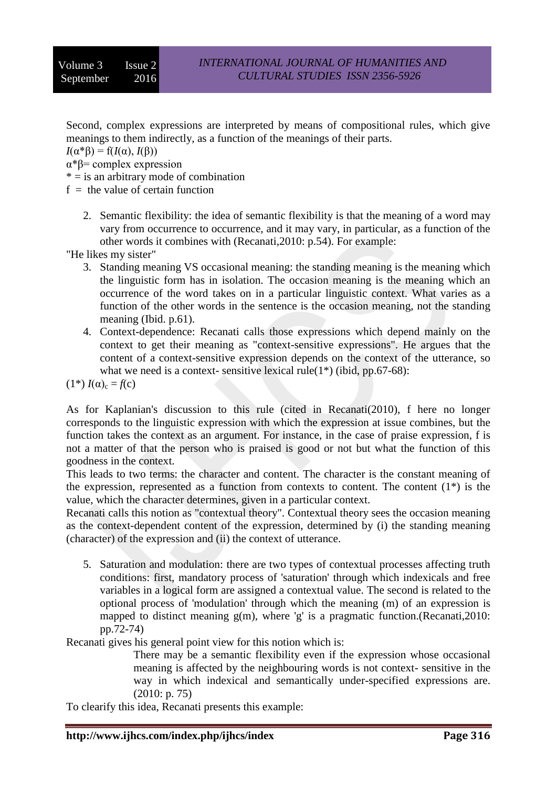Second, complex expressions are interpreted by means of compositional rules, which give meanings to them indirectly, as a function of the meanings of their parts.

 $I(\alpha^*\beta) = f(I(\alpha), I(\beta))$ 

α\*β= complex expression

- $* =$  is an arbitrary mode of combination
- $f =$  the value of certain function
	- 2. Semantic flexibility: the idea of semantic flexibility is that the meaning of a word may vary from occurrence to occurrence, and it may vary, in particular, as a function of the other words it combines with (Recanati,2010: p.54). For example:

"He likes my sister"

- 3. Standing meaning VS occasional meaning: the standing meaning is the meaning which the linguistic form has in isolation. The occasion meaning is the meaning which an occurrence of the word takes on in a particular linguistic context. What varies as a function of the other words in the sentence is the occasion meaning, not the standing meaning (Ibid. p.61).
- 4. Context-dependence: Recanati calls those expressions which depend mainly on the context to get their meaning as "context-sensitive expressions". He argues that the content of a context-sensitive expression depends on the context of the utterance, so what we need is a context- sensitive lexical rule( $1^*$ ) (ibid, pp.67-68):

 $(1^*)$   $I(\alpha)_{c} = f(c)$ 

As for Kaplanian's discussion to this rule (cited in Recanati(2010), f here no longer corresponds to the linguistic expression with which the expression at issue combines, but the function takes the context as an argument. For instance, in the case of praise expression, f is not a matter of that the person who is praised is good or not but what the function of this goodness in the context.

This leads to two terms: the character and content. The character is the constant meaning of the expression, represented as a function from contexts to content. The content  $(1^*)$  is the value, which the character determines, given in a particular context.

Recanati calls this notion as "contextual theory". Contextual theory sees the occasion meaning as the context-dependent content of the expression, determined by (i) the standing meaning (character) of the expression and (ii) the context of utterance.

5. Saturation and modulation: there are two types of contextual processes affecting truth conditions: first, mandatory process of 'saturation' through which indexicals and free variables in a logical form are assigned a contextual value. The second is related to the optional process of 'modulation' through which the meaning (m) of an expression is mapped to distinct meaning  $g(m)$ , where 'g' is a pragmatic function.(Recanati, 2010: pp.72-74)

Recanati gives his general point view for this notion which is:

There may be a semantic flexibility even if the expression whose occasional meaning is affected by the neighbouring words is not context- sensitive in the way in which indexical and semantically under-specified expressions are. (2010: p. 75)

To clearify this idea, Recanati presents this example: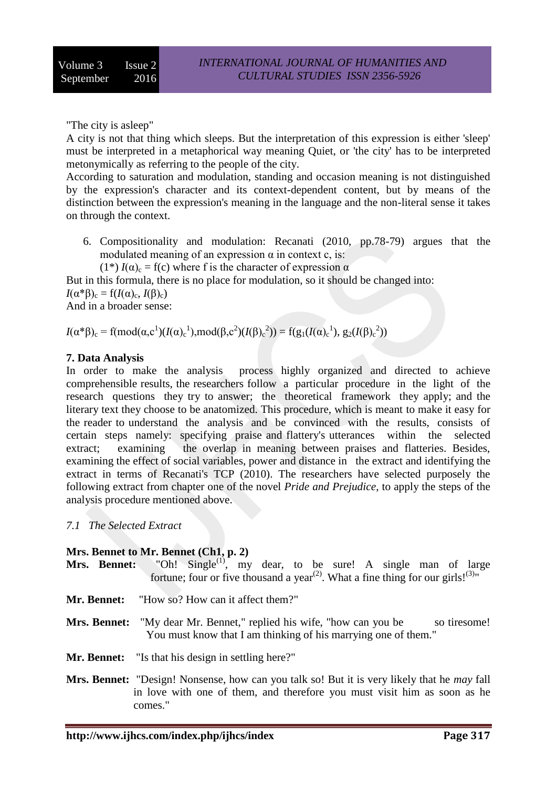"The city is asleep"

A city is not that thing which sleeps. But the interpretation of this expression is either 'sleep' must be interpreted in a metaphorical way meaning Quiet, or 'the city' has to be interpreted metonymically as referring to the people of the city.

According to saturation and modulation, standing and occasion meaning is not distinguished by the expression's character and its context-dependent content, but by means of the distinction between the expression's meaning in the language and the non-literal sense it takes on through the context.

- 6. Compositionality and modulation: Recanati (2010, pp.78-79) argues that the modulated meaning of an expression  $\alpha$  in context c, is:
	- (1<sup>\*</sup>)  $I(\alpha)$ <sub>c</sub> = f(c) where f is the character of expression  $\alpha$

But in this formula, there is no place for modulation, so it should be changed into:  $I(\alpha^*\beta)_c = f(I(\alpha)_c, I(\beta)_c)$ And in a broader sense:

*I*(α\*β)<sub>c</sub> = f(mod(α,c<sup>1</sup>)(*I*(α)<sub>c</sub><sup>1</sup>),mod(β,c<sup>2</sup>)(*I*(β)<sub>c</sub><sup>2</sup>)) = f(g<sub>1</sub>(*I*(α)<sub>c</sub><sup>1</sup>), g<sub>2</sub>(*I*(β)<sub>c</sub><sup>2</sup>))

### **7. Data Analysis**

In order to make the analysis process highly organized and directed to achieve comprehensible results, the researchers follow a particular procedure in the light of the research questions they try to answer; the theoretical framework they apply; and the literary text they choose to be anatomized. This procedure, which is meant to make it easy for the reader to understand the analysis and be convinced with the results, consists of certain steps namely: specifying praise and flattery's utterances within the selected extract; examining the overlap in meaning between praises and flatteries. Besides, examining the effect of social variables, power and distance in the extract and identifying the extract in terms of Recanati's TCP (2010). The researchers have selected purposely the following extract from chapter one of the novel *Pride and Prejudice*, to apply the steps of the analysis procedure mentioned above.

#### *7.1 The Selected Extract*

#### **Mrs. Bennet to Mr. Bennet (Ch1, p. 2)**

- **Mrs. Bennet:** "Oh! Single<sup>(1)</sup>, my dear, to be sure! A single man of large fortune; four or five thousand a year<sup>(2)</sup>. What a fine thing for our girls!<sup>(3)</sup>"
- **Mr. Bennet:** "How so? How can it affect them?"
- **Mrs. Bennet:** "My dear Mr. Bennet," replied his wife, "how can you be so tiresome! You must know that I am thinking of his marrying one of them."
- **Mr. Bennet:** "Is that his design in settling here?"
- **Mrs. Bennet:** "Design! Nonsense, how can you talk so! But it is very likely that he *may* fall in love with one of them, and therefore you must visit him as soon as he comes."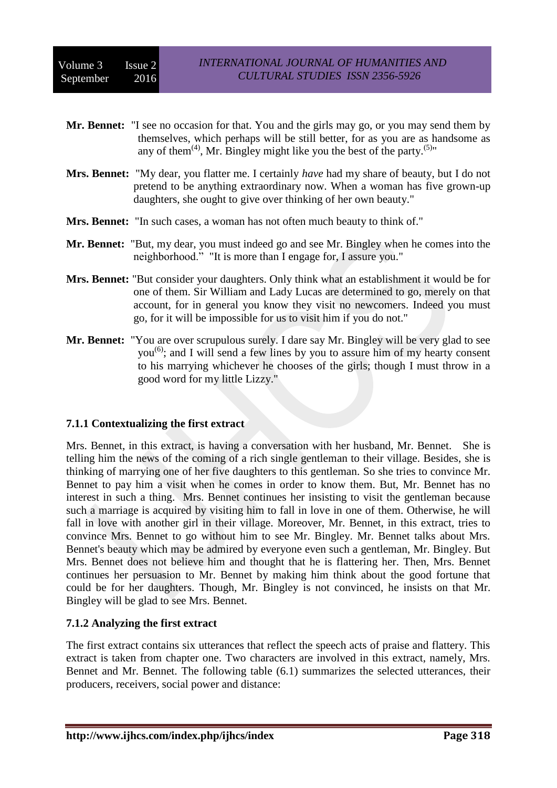| Mr. Bennet: "I see no occasion for that. You and the girls may go, or you may send them by<br>themselves, which perhaps will be still better, for as you are as handsome as<br>any of them <sup>(4)</sup> , Mr. Bingley might like you the best of the party. <sup>(5)</sup> "                                                |
|-------------------------------------------------------------------------------------------------------------------------------------------------------------------------------------------------------------------------------------------------------------------------------------------------------------------------------|
| <b>Mrs. Bennet:</b> "My dear, you flatter me. I certainly <i>have</i> had my share of beauty, but I do not<br>pretend to be anything extraordinary now. When a woman has five grown-up<br>daughters, she ought to give over thinking of her own beauty."                                                                      |
| <b>Mrs. Bennet:</b> "In such cases, a woman has not often much beauty to think of."                                                                                                                                                                                                                                           |
| Mr. Bennet: "But, my dear, you must indeed go and see Mr. Bingley when he comes into the<br>neighborhood." "It is more than I engage for, I assure you."                                                                                                                                                                      |
| Mrs. Bennet: "But consider your daughters. Only think what an establishment it would be for<br>one of them. Sir William and Lady Lucas are determined to go, merely on that<br>account, for in general you know they visit no newcomers. Indeed you must<br>go, for it will be impossible for us to visit him if you do not." |
| Mr. Bennet: "You are over scrupulous surely. I dare say Mr. Bingley will be very glad to see<br>you <sup>(6)</sup> ; and I will send a few lines by you to assure him of my hearty consent                                                                                                                                    |

to his marrying whichever he chooses of the girls; though I must throw in a

#### **7.1.1 Contextualizing the first extract**

good word for my little Lizzy."

Mrs. Bennet, in this extract, is having a conversation with her husband, Mr. Bennet. She is telling him the news of the coming of a rich single gentleman to their village. Besides, she is thinking of marrying one of her five daughters to this gentleman. So she tries to convince Mr. Bennet to pay him a visit when he comes in order to know them. But, Mr. Bennet has no interest in such a thing. Mrs. Bennet continues her insisting to visit the gentleman because such a marriage is acquired by visiting him to fall in love in one of them. Otherwise, he will fall in love with another girl in their village. Moreover, Mr. Bennet, in this extract, tries to convince Mrs. Bennet to go without him to see Mr. Bingley. Mr. Bennet talks about Mrs. Bennet's beauty which may be admired by everyone even such a gentleman, Mr. Bingley. But Mrs. Bennet does not believe him and thought that he is flattering her. Then, Mrs. Bennet continues her persuasion to Mr. Bennet by making him think about the good fortune that could be for her daughters. Though, Mr. Bingley is not convinced, he insists on that Mr. Bingley will be glad to see Mrs. Bennet.

#### **7.1.2 Analyzing the first extract**

The first extract contains six utterances that reflect the speech acts of praise and flattery. This extract is taken from chapter one. Two characters are involved in this extract, namely, Mrs. Bennet and Mr. Bennet. The following table (6.1) summarizes the selected utterances, their producers, receivers, social power and distance: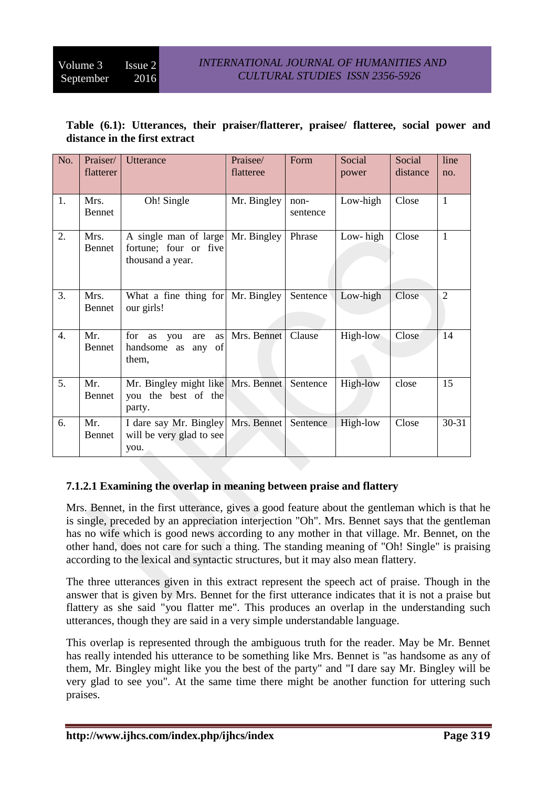| No.              | Praiser/<br>flatterer | <b>Utterance</b>                                                      | Praisee/<br>flatteree | Form             | Social<br>power | Social<br>distance | line<br>no.    |
|------------------|-----------------------|-----------------------------------------------------------------------|-----------------------|------------------|-----------------|--------------------|----------------|
| 1.               | Mrs.<br>Bennet        | Oh! Single                                                            | Mr. Bingley           | non-<br>sentence | Low-high        | Close              | $\mathbf{1}$   |
| 2.               | Mrs.<br>Bennet        | A single man of large<br>fortune; four or five<br>thousand a year.    | Mr. Bingley           | Phrase           | Low-high        | Close              | $\mathbf{1}$   |
| 3.               | Mrs.<br>Bennet        | What a fine thing for Mr. Bingley<br>our girls!                       |                       | Sentence         | Low-high        | Close              | $\overline{2}$ |
| $\overline{4}$ . | Mr.<br>Bennet         | for<br>as<br>as<br>you<br>are<br>handsome as<br>any of<br>them,       | Mrs. Bennet           | Clause           | High-low        | Close              | 14             |
| 5.               | Mr.<br>Bennet         | Mr. Bingley might like   Mrs. Bennet<br>you the best of the<br>party. |                       | Sentence         | High-low        | close              | 15             |
| 6.               | Mr.<br>Bennet         | I dare say Mr. Bingley<br>will be very glad to see<br>you.            | Mrs. Bennet           | Sentence         | High-low        | Close              | $30 - 31$      |

# **Table (6.1): Utterances, their praiser/flatterer, praisee/ flatteree, social power and distance in the first extract**

# **7.1.2.1 Examining the overlap in meaning between praise and flattery**

Mrs. Bennet, in the first utterance, gives a good feature about the gentleman which is that he is single, preceded by an appreciation interjection "Oh". Mrs. Bennet says that the gentleman has no wife which is good news according to any mother in that village. Mr. Bennet, on the other hand, does not care for such a thing. The standing meaning of "Oh! Single" is praising according to the lexical and syntactic structures, but it may also mean flattery.

The three utterances given in this extract represent the speech act of praise. Though in the answer that is given by Mrs. Bennet for the first utterance indicates that it is not a praise but flattery as she said "you flatter me". This produces an overlap in the understanding such utterances, though they are said in a very simple understandable language.

This overlap is represented through the ambiguous truth for the reader. May be Mr. Bennet has really intended his utterance to be something like Mrs. Bennet is "as handsome as any of them, Mr. Bingley might like you the best of the party" and "I dare say Mr. Bingley will be very glad to see you". At the same time there might be another function for uttering such praises.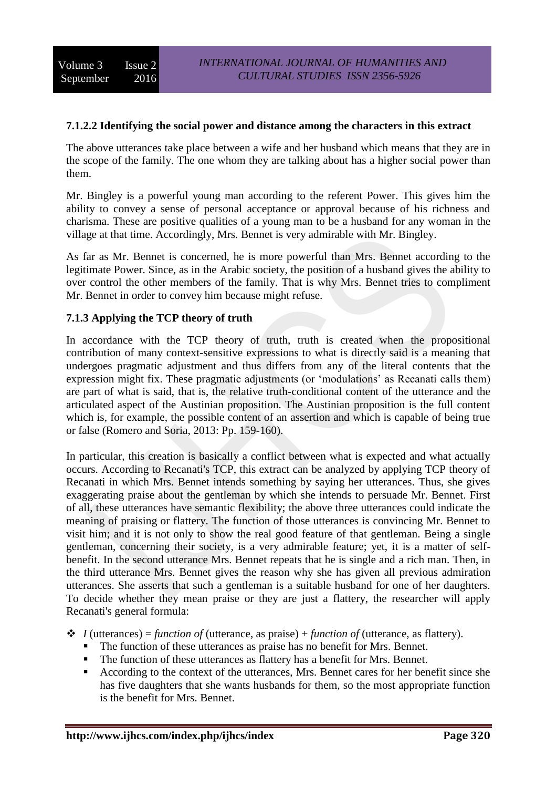# **7.1.2.2 Identifying the social power and distance among the characters in this extract**

The above utterances take place between a wife and her husband which means that they are in the scope of the family. The one whom they are talking about has a higher social power than them.

Mr. Bingley is a powerful young man according to the referent Power. This gives him the ability to convey a sense of personal acceptance or approval because of his richness and charisma. These are positive qualities of a young man to be a husband for any woman in the village at that time. Accordingly, Mrs. Bennet is very admirable with Mr. Bingley.

As far as Mr. Bennet is concerned, he is more powerful than Mrs. Bennet according to the legitimate Power. Since, as in the Arabic society, the position of a husband gives the ability to over control the other members of the family. That is why Mrs. Bennet tries to compliment Mr. Bennet in order to convey him because might refuse.

### **7.1.3 Applying the TCP theory of truth**

In accordance with the TCP theory of truth, truth is created when the propositional contribution of many context-sensitive expressions to what is directly said is a meaning that undergoes pragmatic adjustment and thus differs from any of the literal contents that the expression might fix. These pragmatic adjustments (or 'modulations' as Recanati calls them) are part of what is said, that is, the relative truth-conditional content of the utterance and the articulated aspect of the Austinian proposition. The Austinian proposition is the full content which is, for example, the possible content of an assertion and which is capable of being true or false (Romero and Soria, 2013: Pp. 159-160).

In particular, this creation is basically a conflict between what is expected and what actually occurs. According to Recanati's TCP, this extract can be analyzed by applying TCP theory of Recanati in which Mrs. Bennet intends something by saying her utterances. Thus, she gives exaggerating praise about the gentleman by which she intends to persuade Mr. Bennet. First of all, these utterances have semantic flexibility; the above three utterances could indicate the meaning of praising or flattery. The function of those utterances is convincing Mr. Bennet to visit him; and it is not only to show the real good feature of that gentleman. Being a single gentleman, concerning their society, is a very admirable feature; yet, it is a matter of selfbenefit. In the second utterance Mrs. Bennet repeats that he is single and a rich man. Then, in the third utterance Mrs. Bennet gives the reason why she has given all previous admiration utterances. She asserts that such a gentleman is a suitable husband for one of her daughters. To decide whether they mean praise or they are just a flattery, the researcher will apply Recanati's general formula:

 $\triangle$  *I* (utterances) = *function of* (utterance, as praise) + *function of* (utterance, as flattery).

- The function of these utterances as praise has no benefit for Mrs. Bennet.
- The function of these utterances as flattery has a benefit for Mrs. Bennet.
- According to the context of the utterances, Mrs. Bennet cares for her benefit since she has five daughters that she wants husbands for them, so the most appropriate function is the benefit for Mrs. Bennet.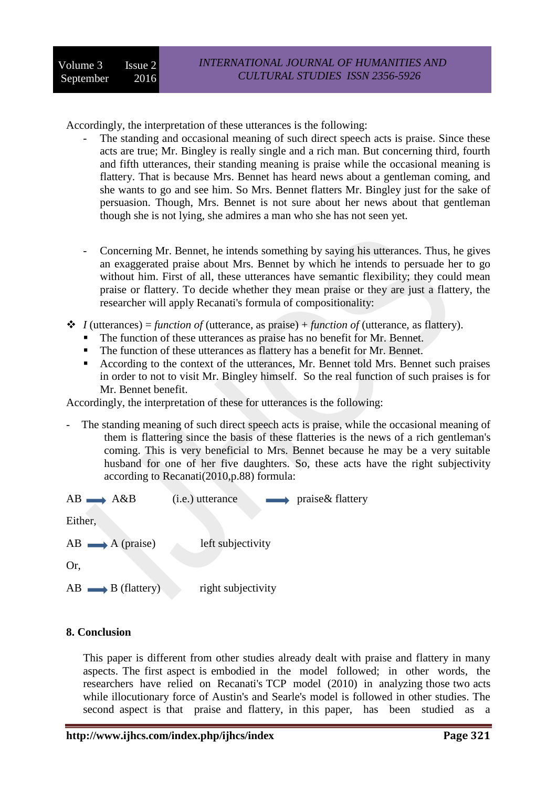Accordingly, the interpretation of these utterances is the following:

- The standing and occasional meaning of such direct speech acts is praise. Since these acts are true; Mr. Bingley is really single and a rich man. But concerning third, fourth and fifth utterances, their standing meaning is praise while the occasional meaning is flattery. That is because Mrs. Bennet has heard news about a gentleman coming, and she wants to go and see him. So Mrs. Bennet flatters Mr. Bingley just for the sake of persuasion. Though, Mrs. Bennet is not sure about her news about that gentleman though she is not lying, she admires a man who she has not seen yet.
- Concerning Mr. Bennet, he intends something by saying his utterances. Thus, he gives an exaggerated praise about Mrs. Bennet by which he intends to persuade her to go without him. First of all, these utterances have semantic flexibility; they could mean praise or flattery. To decide whether they mean praise or they are just a flattery, the researcher will apply Recanati's formula of compositionality:
- $\triangle$  *I* (utterances) = *function of* (utterance, as praise) + *function of* (utterance, as flattery).
	- The function of these utterances as praise has no benefit for Mr. Bennet.
	- The function of these utterances as flattery has a benefit for Mr. Bennet.
	- According to the context of the utterances, Mr. Bennet told Mrs. Bennet such praises in order to not to visit Mr. Bingley himself. So the real function of such praises is for Mr. Bennet benefit.

Accordingly, the interpretation of these for utterances is the following:

The standing meaning of such direct speech acts is praise, while the occasional meaning of them is flattering since the basis of these flatteries is the news of a rich gentleman's coming. This is very beneficial to Mrs. Bennet because he may be a very suitable husband for one of her five daughters. So, these acts have the right subjectivity according to Recanati(2010,p.88) formula:

| $AB \longrightarrow A\& B$      | (i.e.) utterance                  | praise& flattery   |
|---------------------------------|-----------------------------------|--------------------|
| $AB \longrightarrow A$ (praise) | left subjectivity                 |                    |
| $Or,$                           | $AB \longrightarrow B$ (flattery) | right subjectivity |

# **8. Conclusion**

This paper is different from other studies already dealt with praise and flattery in many aspects. The first aspect is embodied in the model followed; in other words, the researchers have relied on Recanati's TCP model (2010) in analyzing those two acts while illocutionary force of Austin's and Searle's model is followed in other studies. The second aspect is that praise and flattery, in this paper, has been studied as a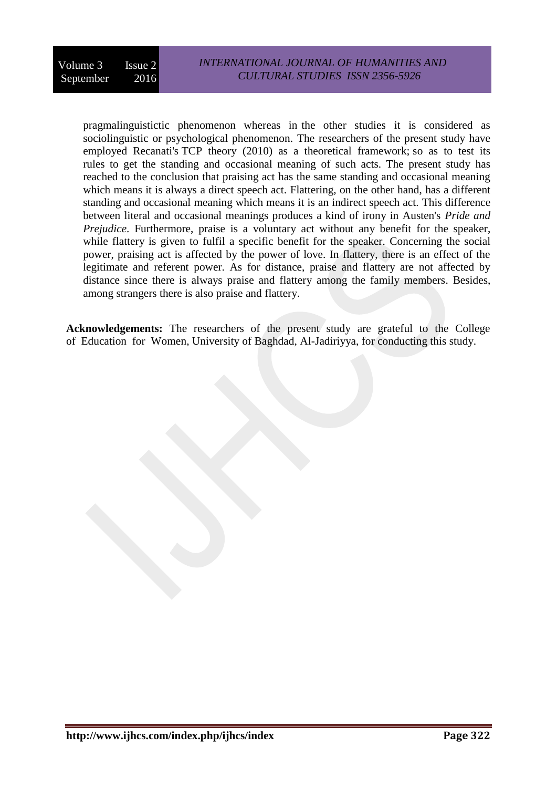pragmalinguistictic phenomenon whereas in the other studies it is considered as sociolinguistic or psychological phenomenon. The researchers of the present study have employed Recanati's TCP theory (2010) as a theoretical framework; so as to test its rules to get the standing and occasional meaning of such acts. The present study has reached to the conclusion that praising act has the same standing and occasional meaning which means it is always a direct speech act. Flattering, on the other hand, has a different standing and occasional meaning which means it is an indirect speech act. This difference between literal and occasional meanings produces a kind of irony in Austen's *Pride and Prejudice*. Furthermore, praise is a voluntary act without any benefit for the speaker, while flattery is given to fulfil a specific benefit for the speaker. Concerning the social power, praising act is affected by the power of love. In flattery, there is an effect of the legitimate and referent power. As for distance, praise and flattery are not affected by distance since there is always praise and flattery among the family members. Besides, among strangers there is also praise and flattery.

**Acknowledgements:** The researchers of the present study are grateful to the College of Education for Women, University of Baghdad, Al-Jadiriyya, for conducting this study.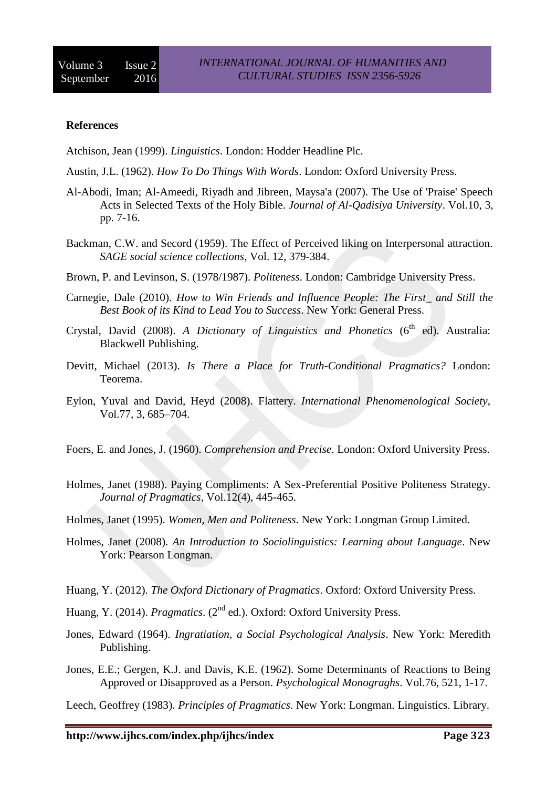#### **References**

Atchison, Jean (1999). *Linguistics*. London: Hodder Headline Plc.

Austin, J.L. (1962). *How To Do Things With Words*. London: Oxford University Press.

- Al-Abodi, Iman; Al-Ameedi, Riyadh and Jibreen, Maysa'a (2007). The Use of 'Praise' Speech Acts in Selected Texts of the Holy Bible. *Journal of Al-Qadisiya University*. Vol.10, 3, pp. 7-16.
- Backman, C.W. and Secord (1959). The Effect of Perceived liking on Interpersonal attraction. *SAGE social science collections*, Vol. 12, 379-384.
- Brown, P. and Levinson, S. (1978/1987). *Politeness*. London: Cambridge University Press.
- Carnegie, Dale (2010). *How to Win Friends and Influence People: The First\_ and Still the Best Book of its Kind to Lead You to Success*. New York: General Press.
- Crystal, David (2008). A Dictionary of Linguistics and Phonetics (6<sup>th</sup> ed). Australia: Blackwell Publishing.
- Devitt, Michael (2013). *Is There a Place for Truth-Conditional Pragmatics?* London: Teorema.
- Eylon, Yuval and David, Heyd (2008). Flattery. *International Phenomenological Society*, Vol.77, 3, 685–704.
- Foers, E. and Jones, J. (1960). *Comprehension and Precise*. London: Oxford University Press.
- Holmes, Janet (1988). Paying Compliments: A Sex-Preferential Positive Politeness Strategy. *Journal of Pragmatics*, Vol.12(4), 445-465.
- Holmes, Janet (1995). *Women, Men and Politeness*. New York: Longman Group Limited.
- Holmes, Janet (2008). *An Introduction to Sociolinguistics: Learning about Language*. New York: Pearson Longman.
- Huang, Y. (2012). *The Oxford Dictionary of Pragmatics*. Oxford: Oxford University Press.
- Huang, Y. (2014). *Pragmatics.* (2<sup>nd</sup> ed.). Oxford: Oxford University Press.
- Jones, Edward (1964). *Ingratiation, a Social Psychological Analysis*. New York: Meredith Publishing.
- Jones, E.E.; Gergen, K.J. and Davis, K.E. (1962). Some Determinants of Reactions to Being Approved or Disapproved as a Person. *Psychological Monograghs*. Vol.76, 521, 1-17.

Leech, Geoffrey (1983). *Principles of Pragmatics*. New York: Longman. Linguistics. Library.